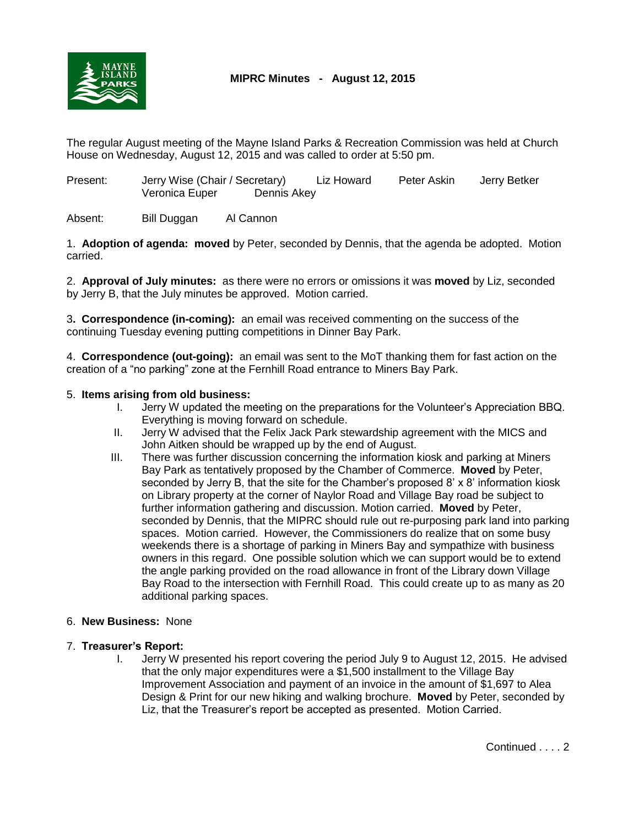

## **MIPRC Minutes - August 12, 2015**

The regular August meeting of the Mayne Island Parks & Recreation Commission was held at Church House on Wednesday, August 12, 2015 and was called to order at 5:50 pm.

Present: Jerry Wise (Chair / Secretary) Liz Howard Peter Askin Jerry Betker Veronica Euper Dennis Akey

Absent: Bill Duggan Al Cannon

1. **Adoption of agenda: moved** by Peter, seconded by Dennis, that the agenda be adopted. Motion carried.

2. **Approval of July minutes:** as there were no errors or omissions it was **moved** by Liz, seconded by Jerry B, that the July minutes be approved. Motion carried.

3**. Correspondence (in-coming):** an email was received commenting on the success of the continuing Tuesday evening putting competitions in Dinner Bay Park.

4. **Correspondence (out-going):** an email was sent to the MoT thanking them for fast action on the creation of a "no parking" zone at the Fernhill Road entrance to Miners Bay Park.

## 5. **Items arising from old business:**

- I. Jerry W updated the meeting on the preparations for the Volunteer's Appreciation BBQ. Everything is moving forward on schedule.
- II. Jerry W advised that the Felix Jack Park stewardship agreement with the MICS and John Aitken should be wrapped up by the end of August.
- III. There was further discussion concerning the information kiosk and parking at Miners Bay Park as tentatively proposed by the Chamber of Commerce. **Moved** by Peter, seconded by Jerry B, that the site for the Chamber's proposed 8' x 8' information kiosk on Library property at the corner of Naylor Road and Village Bay road be subject to further information gathering and discussion. Motion carried. **Moved** by Peter, seconded by Dennis, that the MIPRC should rule out re-purposing park land into parking spaces. Motion carried. However, the Commissioners do realize that on some busy weekends there is a shortage of parking in Miners Bay and sympathize with business owners in this regard. One possible solution which we can support would be to extend the angle parking provided on the road allowance in front of the Library down Village Bay Road to the intersection with Fernhill Road. This could create up to as many as 20 additional parking spaces.

## 6. **New Business:** None

- 7. **Treasurer's Report:**
	- I. Jerry W presented his report covering the period July 9 to August 12, 2015. He advised that the only major expenditures were a \$1,500 installment to the Village Bay Improvement Association and payment of an invoice in the amount of \$1,697 to Alea Design & Print for our new hiking and walking brochure. **Moved** by Peter, seconded by Liz, that the Treasurer's report be accepted as presented. Motion Carried.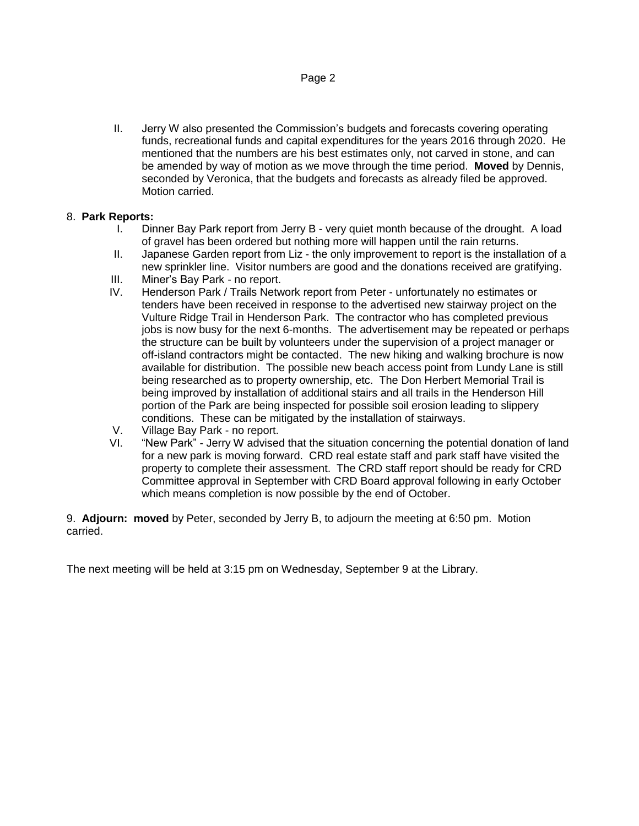II. Jerry W also presented the Commission's budgets and forecasts covering operating funds, recreational funds and capital expenditures for the years 2016 through 2020. He mentioned that the numbers are his best estimates only, not carved in stone, and can be amended by way of motion as we move through the time period. **Moved** by Dennis, seconded by Veronica, that the budgets and forecasts as already filed be approved. Motion carried.

## 8. **Park Reports:**

- I. Dinner Bay Park report from Jerry B very quiet month because of the drought. A load of gravel has been ordered but nothing more will happen until the rain returns.
- II. Japanese Garden report from Liz the only improvement to report is the installation of a new sprinkler line. Visitor numbers are good and the donations received are gratifying.
- III. Miner's Bay Park no report.
- IV. Henderson Park / Trails Network report from Peter unfortunately no estimates or tenders have been received in response to the advertised new stairway project on the Vulture Ridge Trail in Henderson Park. The contractor who has completed previous jobs is now busy for the next 6-months. The advertisement may be repeated or perhaps the structure can be built by volunteers under the supervision of a project manager or off-island contractors might be contacted. The new hiking and walking brochure is now available for distribution. The possible new beach access point from Lundy Lane is still being researched as to property ownership, etc. The Don Herbert Memorial Trail is being improved by installation of additional stairs and all trails in the Henderson Hill portion of the Park are being inspected for possible soil erosion leading to slippery conditions. These can be mitigated by the installation of stairways.
- V. Village Bay Park no report.
- VI. "New Park" Jerry W advised that the situation concerning the potential donation of land for a new park is moving forward. CRD real estate staff and park staff have visited the property to complete their assessment. The CRD staff report should be ready for CRD Committee approval in September with CRD Board approval following in early October which means completion is now possible by the end of October.

9. **Adjourn: moved** by Peter, seconded by Jerry B, to adjourn the meeting at 6:50 pm. Motion carried.

The next meeting will be held at 3:15 pm on Wednesday, September 9 at the Library.